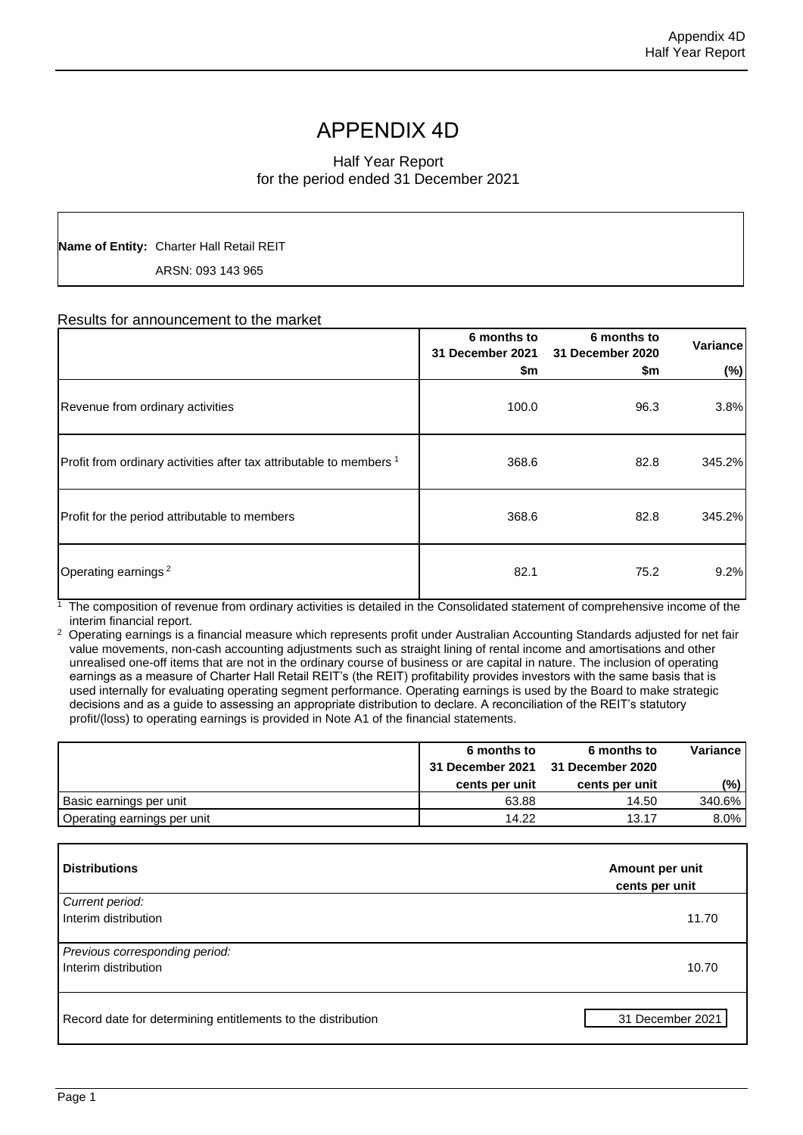# APPENDIX 4D

# Half Year Report for the period ended 31 December 2021

**Name of Entity:** Charter Hall Retail REIT

ARSN: 093 143 965

# Results for announcement to the market

|                                                                                | 6 months to<br>31 December 2021<br>\$m | 6 months to<br>31 December 2020<br>\$m | Variance<br>$(\%)$ |
|--------------------------------------------------------------------------------|----------------------------------------|----------------------------------------|--------------------|
| Revenue from ordinary activities                                               | 100.0                                  | 96.3                                   | 3.8%               |
| Profit from ordinary activities after tax attributable to members <sup>1</sup> | 368.6                                  | 82.8                                   | 345.2%             |
| Profit for the period attributable to members                                  | 368.6                                  | 82.8                                   | 345.2%             |
| Operating earnings <sup>2</sup>                                                | 82.1                                   | 75.2                                   | 9.2%               |

1 The composition of revenue from ordinary activities is detailed in the Consolidated statement of comprehensive income of the interim financial report.

2 Operating earnings is a financial measure which represents profit under Australian Accounting Standards adjusted for net fair value movements, non-cash accounting adjustments such as straight lining of rental income and amortisations and other unrealised one-off items that are not in the ordinary course of business or are capital in nature. The inclusion of operating earnings as a measure of Charter Hall Retail REIT's (the REIT) profitability provides investors with the same basis that is used internally for evaluating operating segment performance. Operating earnings is used by the Board to make strategic decisions and as a guide to assessing an appropriate distribution to declare. A reconciliation of the REIT's statutory profit/(loss) to operating earnings is provided in Note A1 of the financial statements.

|                             | 6 months to<br>31 December 2021 31 December 2020 | 6 months to    | <b>Variance</b> |
|-----------------------------|--------------------------------------------------|----------------|-----------------|
|                             | cents per unit                                   | cents per unit | $(\%)$          |
| Basic earnings per unit     | 63.88                                            | 14.50          | 340.6%          |
| Operating earnings per unit | 14.22                                            | 13.17          | $8.0\%$         |

| <b>Distributions</b>                                         | Amount per unit<br>cents per unit |  |
|--------------------------------------------------------------|-----------------------------------|--|
| Current period:<br>Interim distribution                      | 11.70                             |  |
| Previous corresponding period:<br>Interim distribution       | 10.70                             |  |
| Record date for determining entitlements to the distribution | 31 December 2021                  |  |